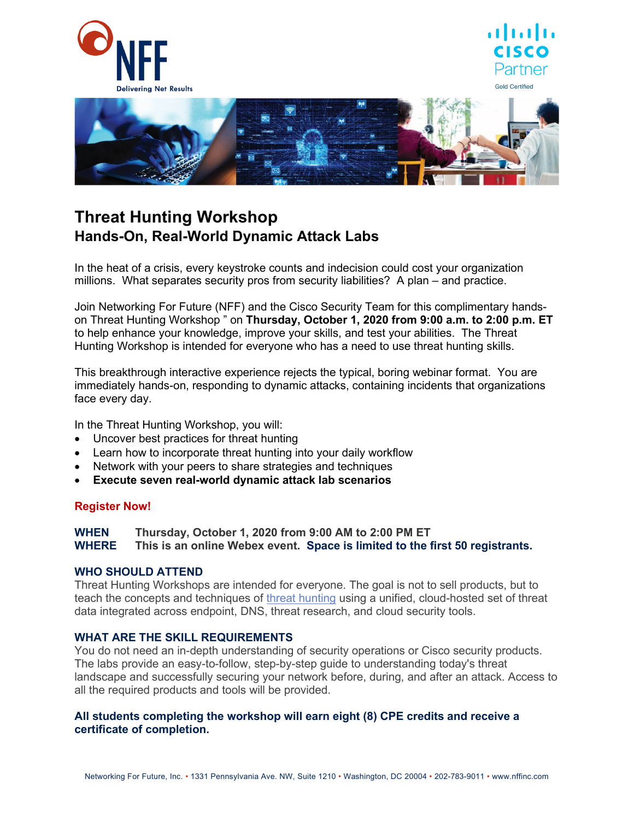





# **Threat Hunting Workshop Hands-On, Real-World Dynamic Attack Labs**

In the heat of a crisis, every keystroke counts and indecision could cost your organization millions. What separates security pros from security liabilities? A plan – and practice.

Join Networking For Future (NFF) and the Cisco Security Team for this complimentary handson Threat Hunting Workshop " on **Thursday, October 1, 2020 from 9:00 a.m. to 2:00 p.m. ET**  to help enhance your knowledge, improve your skills, and test your abilities. The Threat Hunting Workshop is intended for everyone who has a need to use threat hunting skills.

This breakthrough interactive experience rejects the typical, boring webinar format. You are immediately hands-on, responding to dynamic attacks, containing incidents that organizations face every day.

In the Threat Hunting Workshop, you will:

- Uncover best practices for threat hunting
- Learn how to incorporate threat hunting into your daily workflow
- Network with your peers to share strategies and techniques
- **Execute seven real-world dynamic attack lab scenarios**

### **[Register Now!](https://cvent.me/QRyq3R)**

**WHEN Thursday, October 1, 2020 from 9:00 AM to 2:00 PM ET WHERE This is an online Webex event. Space is limited to the first 50 registrants.**

### WHO SHOULD ATTEND

Threat Hunting Workshops are intended for everyone. The goal is not to sell products, but to teach the concepts and techniques of [threat hunting](https://www.cisco.com/c/en/us/products/security/endpoint-security/what-is-threat-hunting.html) using a unified, cloud-hosted set of threat data integrated across endpoint, DNS, threat research, and cloud security tools.

### **WHAT ARE THE SKILL REQUIREMENTS**

You do not need an in-depth understanding of security operations or Cisco security products. The labs provide an easy-to-follow, step-by-step guide to understanding today's threat landscape and successfully securing your network before, during, and after an attack. Access to all the required products and tools will be provided.

#### **All students completing the workshop will earn eight (8) CPE credits and receive a certificate of completion.**